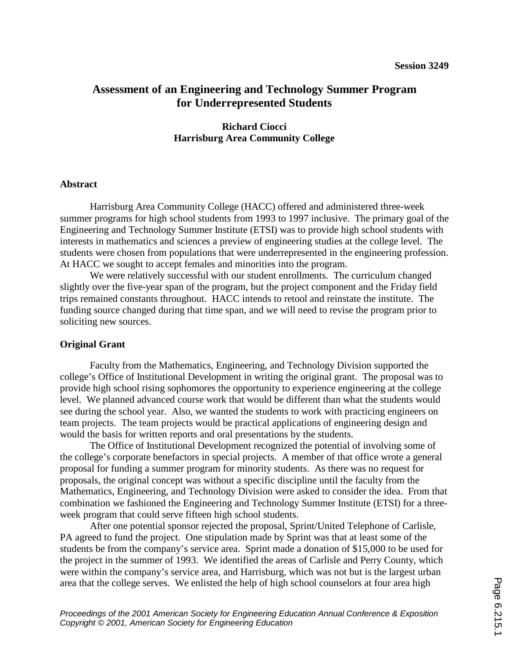# **Assessment of an Engineering and Technology Summer Program for Underrepresented Students**

## **Richard Ciocci Harrisburg Area Community College**

### **Abstract**

 Harrisburg Area Community College (HACC) offered and administered three-week summer programs for high school students from 1993 to 1997 inclusive. The primary goal of the Engineering and Technology Summer Institute (ETSI) was to provide high school students with interests in mathematics and sciences a preview of engineering studies at the college level. The students were chosen from populations that were underrepresented in the engineering profession. At HACC we sought to accept females and minorities into the program.

 We were relatively successful with our student enrollments. The curriculum changed slightly over the five-year span of the program, but the project component and the Friday field trips remained constants throughout. HACC intends to retool and reinstate the institute. The funding source changed during that time span, and we will need to revise the program prior to soliciting new sources.

#### **Original Grant**

 Faculty from the Mathematics, Engineering, and Technology Division supported the college's Office of Institutional Development in writing the original grant. The proposal was to provide high school rising sophomores the opportunity to experience engineering at the college level. We planned advanced course work that would be different than what the students would see during the school year. Also, we wanted the students to work with practicing engineers on team projects. The team projects would be practical applications of engineering design and would the basis for written reports and oral presentations by the students.

 The Office of Institutional Development recognized the potential of involving some of the college's corporate benefactors in special projects. A member of that office wrote a general proposal for funding a summer program for minority students. As there was no request for proposals, the original concept was without a specific discipline until the faculty from the Mathematics, Engineering, and Technology Division were asked to consider the idea. From that combination we fashioned the Engineering and Technology Summer Institute (ETSI) for a threeweek program that could serve fifteen high school students.

 After one potential sponsor rejected the proposal, Sprint/United Telephone of Carlisle, PA agreed to fund the project. One stipulation made by Sprint was that at least some of the students be from the company's service area. Sprint made a donation of \$15,000 to be used for the project in the summer of 1993. We identified the areas of Carlisle and Perry County, which were within the company's service area, and Harrisburg, which was not but is the largest urban area that the college serves. We enlisted the help of high school counselors at four area high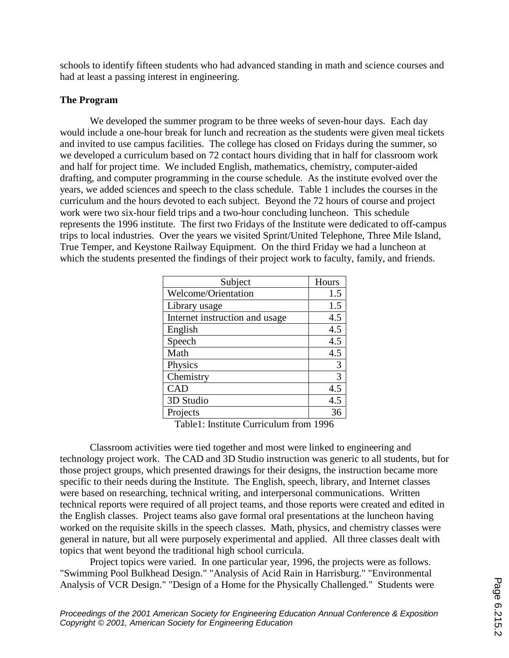schools to identify fifteen students who had advanced standing in math and science courses and had at least a passing interest in engineering.

# **The Program**

We developed the summer program to be three weeks of seven-hour days. Each day would include a one-hour break for lunch and recreation as the students were given meal tickets and invited to use campus facilities. The college has closed on Fridays during the summer, so we developed a curriculum based on 72 contact hours dividing that in half for classroom work and half for project time. We included English, mathematics, chemistry, computer-aided drafting, and computer programming in the course schedule. As the institute evolved over the years, we added sciences and speech to the class schedule. Table 1 includes the courses in the curriculum and the hours devoted to each subject. Beyond the 72 hours of course and project work were two six-hour field trips and a two-hour concluding luncheon. This schedule represents the 1996 institute. The first two Fridays of the Institute were dedicated to off-campus trips to local industries. Over the years we visited Sprint/United Telephone, Three Mile Island, True Temper, and Keystone Railway Equipment. On the third Friday we had a luncheon at which the students presented the findings of their project work to faculty, family, and friends.

| Subject                        | Hours |
|--------------------------------|-------|
| Welcome/Orientation            | 1.5   |
| Library usage                  | 1.5   |
| Internet instruction and usage | 4.5   |
| English                        | 4.5   |
| Speech                         | 4.5   |
| Math                           | 4.5   |
| Physics                        | 3     |
| Chemistry                      | 3     |
| <b>CAD</b>                     | 4.5   |
| 3D Studio                      | 4.5   |
| Projects                       | 36    |

Table1: Institute Curriculum from 1996

 Classroom activities were tied together and most were linked to engineering and technology project work. The CAD and 3D Studio instruction was generic to all students, but for those project groups, which presented drawings for their designs, the instruction became more specific to their needs during the Institute. The English, speech, library, and Internet classes were based on researching, technical writing, and interpersonal communications. Written technical reports were required of all project teams, and those reports were created and edited in the English classes. Project teams also gave formal oral presentations at the luncheon having worked on the requisite skills in the speech classes. Math, physics, and chemistry classes were general in nature, but all were purposely experimental and applied. All three classes dealt with topics that went beyond the traditional high school curricula.

 Project topics were varied. In one particular year, 1996, the projects were as follows. "Swimming Pool Bulkhead Design." "Analysis of Acid Rain in Harrisburg." "Environmental Analysis of VCR Design." "Design of a Home for the Physically Challenged." Students were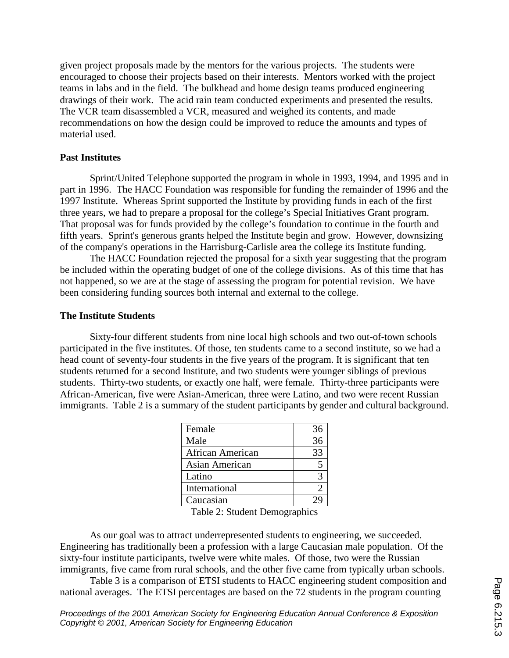given project proposals made by the mentors for the various projects. The students were encouraged to choose their projects based on their interests. Mentors worked with the project teams in labs and in the field. The bulkhead and home design teams produced engineering drawings of their work. The acid rain team conducted experiments and presented the results. The VCR team disassembled a VCR, measured and weighed its contents, and made recommendations on how the design could be improved to reduce the amounts and types of material used.

### **Past Institutes**

 Sprint/United Telephone supported the program in whole in 1993, 1994, and 1995 and in part in 1996. The HACC Foundation was responsible for funding the remainder of 1996 and the 1997 Institute. Whereas Sprint supported the Institute by providing funds in each of the first three years, we had to prepare a proposal for the college's Special Initiatives Grant program. That proposal was for funds provided by the college's foundation to continue in the fourth and fifth years. Sprint's generous grants helped the Institute begin and grow. However, downsizing of the company's operations in the Harrisburg-Carlisle area the college its Institute funding.

 The HACC Foundation rejected the proposal for a sixth year suggesting that the program be included within the operating budget of one of the college divisions. As of this time that has not happened, so we are at the stage of assessing the program for potential revision. We have been considering funding sources both internal and external to the college.

#### **The Institute Students**

Sixty-four different students from nine local high schools and two out-of-town schools participated in the five institutes. Of those, ten students came to a second institute, so we had a head count of seventy-four students in the five years of the program. It is significant that ten students returned for a second Institute, and two students were younger siblings of previous students. Thirty-two students, or exactly one half, were female. Thirty-three participants were African-American, five were Asian-American, three were Latino, and two were recent Russian immigrants. Table 2 is a summary of the student participants by gender and cultural background.

| Female           | 36 |
|------------------|----|
| Male             | 36 |
| African American | 33 |
| Asian American   |    |
| Latino           |    |
| International    |    |
| Caucasian        |    |
|                  |    |

Table 2: Student Demographics

 As our goal was to attract underrepresented students to engineering, we succeeded. Engineering has traditionally been a profession with a large Caucasian male population. Of the sixty-four institute participants, twelve were white males. Of those, two were the Russian immigrants, five came from rural schools, and the other five came from typically urban schools.

 Table 3 is a comparison of ETSI students to HACC engineering student composition and national averages. The ETSI percentages are based on the 72 students in the program counting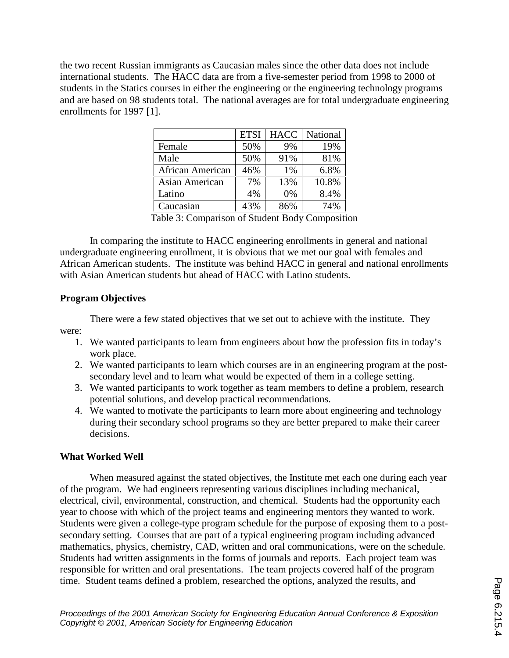the two recent Russian immigrants as Caucasian males since the other data does not include international students. The HACC data are from a five-semester period from 1998 to 2000 of students in the Statics courses in either the engineering or the engineering technology programs and are based on 98 students total. The national averages are for total undergraduate engineering enrollments for 1997 [1].

|                  | <b>ETSI</b>         | <b>HACC</b>                                | National |
|------------------|---------------------|--------------------------------------------|----------|
| Female           | 50%                 | 9%                                         | 19%      |
| Male             | 50%                 | 91%                                        | 81%      |
| African American | 46%                 | 1%                                         | 6.8%     |
| Asian American   | 7%                  | 13%                                        | 10.8%    |
| Latino           | 4%                  | 0%                                         | 8.4%     |
| Caucasian        | 43%                 | 86%                                        | 74%      |
| m 11 1 2         | $\alpha$ $\alpha$ . | $\blacksquare$<br>$\overline{\phantom{a}}$ |          |

Table 3: Comparison of Student Body Composition

 In comparing the institute to HACC engineering enrollments in general and national undergraduate engineering enrollment, it is obvious that we met our goal with females and African American students. The institute was behind HACC in general and national enrollments with Asian American students but ahead of HACC with Latino students.

# **Program Objectives**

 There were a few stated objectives that we set out to achieve with the institute. They were:

- 1. We wanted participants to learn from engineers about how the profession fits in today's work place.
- 2. We wanted participants to learn which courses are in an engineering program at the postsecondary level and to learn what would be expected of them in a college setting.
- 3. We wanted participants to work together as team members to define a problem, research potential solutions, and develop practical recommendations.
- 4. We wanted to motivate the participants to learn more about engineering and technology during their secondary school programs so they are better prepared to make their career decisions.

# **What Worked Well**

 When measured against the stated objectives, the Institute met each one during each year of the program. We had engineers representing various disciplines including mechanical, electrical, civil, environmental, construction, and chemical. Students had the opportunity each year to choose with which of the project teams and engineering mentors they wanted to work. Students were given a college-type program schedule for the purpose of exposing them to a postsecondary setting. Courses that are part of a typical engineering program including advanced mathematics, physics, chemistry, CAD, written and oral communications, were on the schedule. Students had written assignments in the forms of journals and reports. Each project team was responsible for written and oral presentations. The team projects covered half of the program time. Student teams defined a problem, researched the options, analyzed the results, and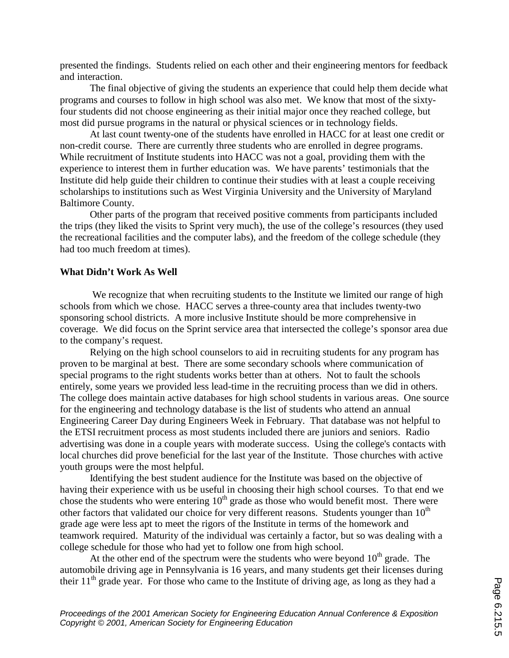presented the findings. Students relied on each other and their engineering mentors for feedback and interaction.

 The final objective of giving the students an experience that could help them decide what programs and courses to follow in high school was also met. We know that most of the sixtyfour students did not choose engineering as their initial major once they reached college, but most did pursue programs in the natural or physical sciences or in technology fields.

 At last count twenty-one of the students have enrolled in HACC for at least one credit or non-credit course. There are currently three students who are enrolled in degree programs. While recruitment of Institute students into HACC was not a goal, providing them with the experience to interest them in further education was. We have parents' testimonials that the Institute did help guide their children to continue their studies with at least a couple receiving scholarships to institutions such as West Virginia University and the University of Maryland Baltimore County.

 Other parts of the program that received positive comments from participants included the trips (they liked the visits to Sprint very much), the use of the college's resources (they used the recreational facilities and the computer labs), and the freedom of the college schedule (they had too much freedom at times).

## **What Didn't Work As Well**

We recognize that when recruiting students to the Institute we limited our range of high schools from which we chose. HACC serves a three-county area that includes twenty-two sponsoring school districts. A more inclusive Institute should be more comprehensive in coverage. We did focus on the Sprint service area that intersected the college's sponsor area due to the company's request.

 Relying on the high school counselors to aid in recruiting students for any program has proven to be marginal at best. There are some secondary schools where communication of special programs to the right students works better than at others. Not to fault the schools entirely, some years we provided less lead-time in the recruiting process than we did in others. The college does maintain active databases for high school students in various areas. One source for the engineering and technology database is the list of students who attend an annual Engineering Career Day during Engineers Week in February. That database was not helpful to the ETSI recruitment process as most students included there are juniors and seniors. Radio advertising was done in a couple years with moderate success. Using the college's contacts with local churches did prove beneficial for the last year of the Institute. Those churches with active youth groups were the most helpful.

 Identifying the best student audience for the Institute was based on the objective of having their experience with us be useful in choosing their high school courses. To that end we chose the students who were entering  $10<sup>th</sup>$  grade as those who would benefit most. There were other factors that validated our choice for very different reasons. Students younger than  $10<sup>th</sup>$ grade age were less apt to meet the rigors of the Institute in terms of the homework and teamwork required. Maturity of the individual was certainly a factor, but so was dealing with a college schedule for those who had yet to follow one from high school.

At the other end of the spectrum were the students who were beyond  $10<sup>th</sup>$  grade. The automobile driving age in Pennsylvania is 16 years, and many students get their licenses during their  $11<sup>th</sup>$  grade year. For those who came to the Institute of driving age, as long as they had a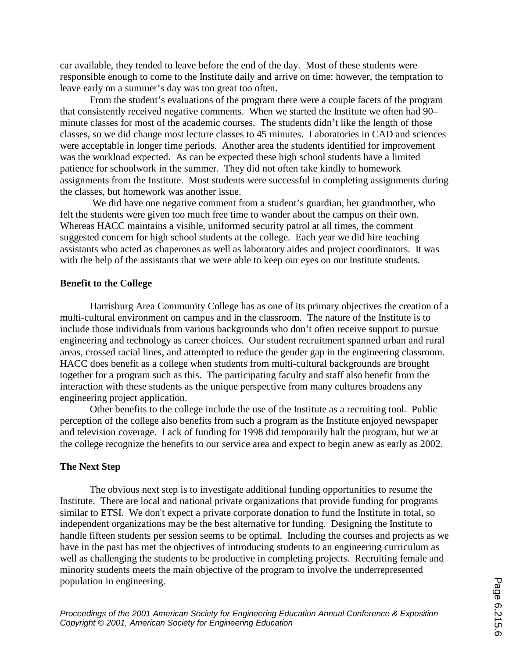car available, they tended to leave before the end of the day. Most of these students were responsible enough to come to the Institute daily and arrive on time; however, the temptation to leave early on a summer's day was too great too often.

 From the student's evaluations of the program there were a couple facets of the program that consistently received negative comments. When we started the Institute we often had 90– minute classes for most of the academic courses. The students didn't like the length of those classes, so we did change most lecture classes to 45 minutes. Laboratories in CAD and sciences were acceptable in longer time periods. Another area the students identified for improvement was the workload expected. As can be expected these high school students have a limited patience for schoolwork in the summer. They did not often take kindly to homework assignments from the Institute. Most students were successful in completing assignments during the classes, but homework was another issue.

 We did have one negative comment from a student's guardian, her grandmother, who felt the students were given too much free time to wander about the campus on their own. Whereas HACC maintains a visible, uniformed security patrol at all times, the comment suggested concern for high school students at the college. Each year we did hire teaching assistants who acted as chaperones as well as laboratory aides and project coordinators. It was with the help of the assistants that we were able to keep our eyes on our Institute students.

## **Benefit to the College**

 Harrisburg Area Community College has as one of its primary objectives the creation of a multi-cultural environment on campus and in the classroom. The nature of the Institute is to include those individuals from various backgrounds who don't often receive support to pursue engineering and technology as career choices. Our student recruitment spanned urban and rural areas, crossed racial lines, and attempted to reduce the gender gap in the engineering classroom. HACC does benefit as a college when students from multi-cultural backgrounds are brought together for a program such as this. The participating faculty and staff also benefit from the interaction with these students as the unique perspective from many cultures broadens any engineering project application.

 Other benefits to the college include the use of the Institute as a recruiting tool. Public perception of the college also benefits from such a program as the Institute enjoyed newspaper and television coverage. Lack of funding for 1998 did temporarily halt the program, but we at the college recognize the benefits to our service area and expect to begin anew as early as 2002.

## **The Next Step**

 The obvious next step is to investigate additional funding opportunities to resume the Institute. There are local and national private organizations that provide funding for programs similar to ETSI. We don't expect a private corporate donation to fund the Institute in total, so independent organizations may be the best alternative for funding. Designing the Institute to handle fifteen students per session seems to be optimal. Including the courses and projects as we have in the past has met the objectives of introducing students to an engineering curriculum as well as challenging the students to be productive in completing projects. Recruiting female and minority students meets the main objective of the program to involve the underrepresented population in engineering.